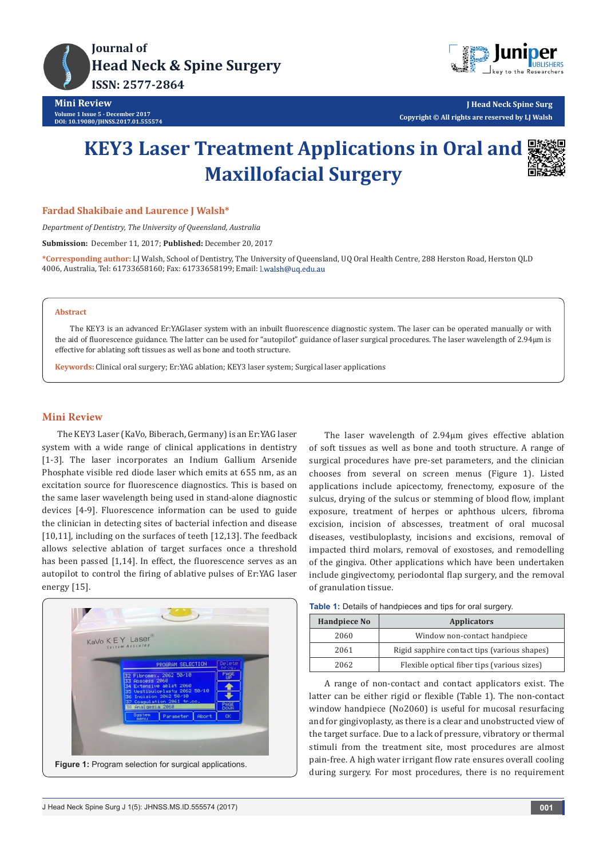



**J Head Neck Spine Surg Copyright © All rights are reserved by LJ Walsh**

# **KEY3 Laser Treatment Applications in Oral and Maxillofacial Surgery**



#### **Fardad Shakibaie and Laurence J Walsh\***

*Department of Dentistry, The University of Queensland, Australia*

**Submission:** December 11, 2017; **Published:** December 20, 2017

**\*Corresponding author:** LJ Walsh, School of Dentistry, The University of Queensland, UQ Oral Health Centre, 288 Herston Road, Herston QLD 4006, Australia, Tel: 61733658160; Fax: 61733658199; Email:

#### **Abstract**

The KEY3 is an advanced Er:YAGlaser system with an inbuilt fluorescence diagnostic system. The laser can be operated manually or with the aid of fluorescence guidance. The latter can be used for "autopilot" guidance of laser surgical procedures. The laser wavelength of 2.94µm is effective for ablating soft tissues as well as bone and tooth structure.

**Keywords:** Clinical oral surgery; Er:YAG ablation; KEY3 laser system; Surgical laser applications

#### **Mini Review**

The KEY3 Laser (KaVo, Biberach, Germany) is an Er:YAG laser system with a wide range of clinical applications in dentistry [1-3]. The laser incorporates an Indium Gallium Arsenide Phosphate visible red diode laser which emits at 655 nm, as an excitation source for fluorescence diagnostics. This is based on the same laser wavelength being used in stand-alone diagnostic devices [4-9]. Fluorescence information can be used to guide the clinician in detecting sites of bacterial infection and disease [10,11], including on the surfaces of teeth [12,13]. The feedback allows selective ablation of target surfaces once a threshold has been passed [1,14]. In effect, the fluorescence serves as an autopilot to control the firing of ablative pulses of Er:YAG laser energy [15].



The laser wavelength of 2.94µm gives effective ablation of soft tissues as well as bone and tooth structure. A range of surgical procedures have pre-set parameters, and the clinician chooses from several on screen menus (Figure 1). Listed applications include apicectomy, frenectomy, exposure of the sulcus, drying of the sulcus or stemming of blood flow, implant exposure, treatment of herpes or aphthous ulcers, fibroma excision, incision of abscesses, treatment of oral mucosal diseases, vestibuloplasty, incisions and excisions, removal of impacted third molars, removal of exostoses, and remodelling of the gingiva. Other applications which have been undertaken include gingivectomy, periodontal flap surgery, and the removal of granulation tissue.

|  |  | Table 1: Details of handpieces and tips for oral surgery. |
|--|--|-----------------------------------------------------------|
|--|--|-----------------------------------------------------------|

| <b>Handpiece No</b> | <b>Applicators</b>                           |  |
|---------------------|----------------------------------------------|--|
| 2060                | Window non-contact handpiece                 |  |
| 2061                | Rigid sapphire contact tips (various shapes) |  |
| 2062                | Flexible optical fiber tips (various sizes)  |  |

A range of non-contact and contact applicators exist. The latter can be either rigid or flexible (Table 1). The non-contact window handpiece (No2060) is useful for mucosal resurfacing and for gingivoplasty, as there is a clear and unobstructed view of the target surface. Due to a lack of pressure, vibratory or thermal stimuli from the treatment site, most procedures are almost pain-free. A high water irrigant flow rate ensures overall cooling during surgery. For most procedures, there is no requirement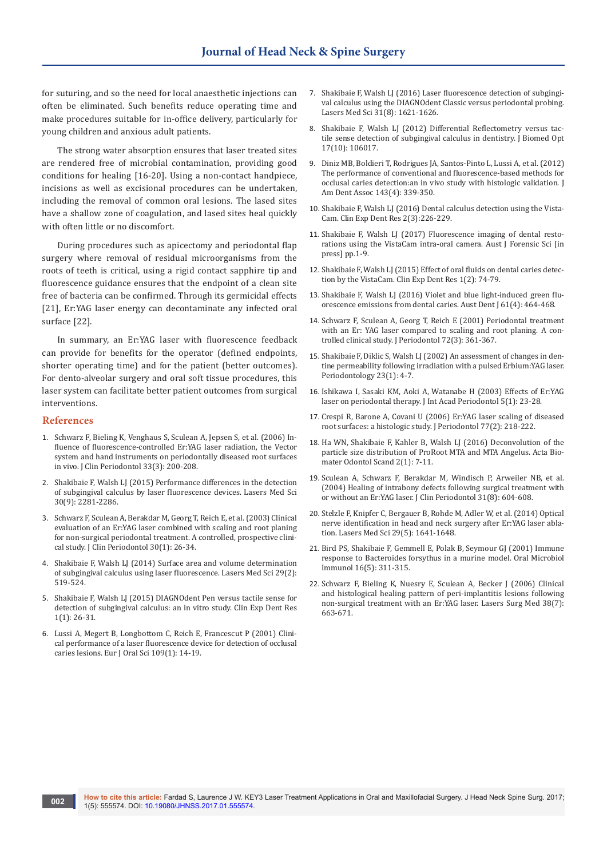for suturing, and so the need for local anaesthetic injections can often be eliminated. Such benefits reduce operating time and make procedures suitable for in-office delivery, particularly for young children and anxious adult patients.

The strong water absorption ensures that laser treated sites are rendered free of microbial contamination, providing good conditions for healing [16-20]. Using a non-contact handpiece, incisions as well as excisional procedures can be undertaken, including the removal of common oral lesions. The lased sites have a shallow zone of coagulation, and lased sites heal quickly with often little or no discomfort.

During procedures such as apicectomy and periodontal flap surgery where removal of residual microorganisms from the roots of teeth is critical, using a rigid contact sapphire tip and fluorescence guidance ensures that the endpoint of a clean site free of bacteria can be confirmed. Through its germicidal effects [21], Er:YAG laser energy can decontaminate any infected oral surface [22].

In summary, an Er:YAG laser with fluorescence feedback can provide for benefits for the operator (defined endpoints, shorter operating time) and for the patient (better outcomes). For dento-alveolar surgery and oral soft tissue procedures, this laser system can facilitate better patient outcomes from surgical interventions.

#### **References**

- 1. [Schwarz F, Bieling K, Venghaus S, Sculean A, Jepsen S, et al. \(2006\) In](https://www.ncbi.nlm.nih.gov/pubmed/16489946)[fluence of fluorescence-controlled Er:YAG laser radiation, the Vector](https://www.ncbi.nlm.nih.gov/pubmed/16489946)  [system and hand instruments on periodontally diseased root surfaces](https://www.ncbi.nlm.nih.gov/pubmed/16489946)  [in vivo. J Clin Periodontol 33\(3\): 200-208.](https://www.ncbi.nlm.nih.gov/pubmed/16489946)
- 2. [Shakibaie F, Walsh LJ \(2015\) Performance differences in the detection](https://www.ncbi.nlm.nih.gov/pubmed/26396103)  [of subgingival calculus by laser fluorescence devices. Lasers Med Sci](https://www.ncbi.nlm.nih.gov/pubmed/26396103)  [30\(9\): 2281-2286.](https://www.ncbi.nlm.nih.gov/pubmed/26396103)
- 3. [Schwarz F, Sculean A, Berakdar M, Georg T, Reich E, et al. \(2003\) Clinical](https://www.ncbi.nlm.nih.gov/pubmed/12702108)  [evaluation of an Er:YAG laser combined with scaling and root planing](https://www.ncbi.nlm.nih.gov/pubmed/12702108)  [for non-surgical periodontal treatment. A controlled, prospective clini](https://www.ncbi.nlm.nih.gov/pubmed/12702108)[cal study. J Clin Periodontol 30\(1\): 26-34.](https://www.ncbi.nlm.nih.gov/pubmed/12702108)
- 4. [Shakibaie F, Walsh LJ \(2014\) Surface area and volume determination](https://www.ncbi.nlm.nih.gov/pubmed/23238806)  [of subgingival calculus using laser fluorescence. Lasers Med Sci 29\(2\):](https://www.ncbi.nlm.nih.gov/pubmed/23238806)  [519-524.](https://www.ncbi.nlm.nih.gov/pubmed/23238806)
- 5. [Shakibaie F, Walsh LJ \(2015\) DIAGNOdent Pen versus tactile sense for](http://onlinelibrary.wiley.com/doi/10.1002/cre2.5/abstract)  [detection of subgingival calculus: an in vitro study. Clin Exp Dent Res](http://onlinelibrary.wiley.com/doi/10.1002/cre2.5/abstract)  [1\(1\): 26-31.](http://onlinelibrary.wiley.com/doi/10.1002/cre2.5/abstract)
- 6. [Lussi A, Megert B, Longbottom C, Reich E, Francescut P \(2001\) Clini](https://www.ncbi.nlm.nih.gov/pubmed/11330928)[cal performance of a laser fluorescence device for detection of occlusal](https://www.ncbi.nlm.nih.gov/pubmed/11330928)  [caries lesions. Eur J Oral Sci 109\(1\): 14-19.](https://www.ncbi.nlm.nih.gov/pubmed/11330928)
- 7. [Shakibaie F, Walsh LJ \(2016\) Laser fluorescence detection of subgingi](https://www.ncbi.nlm.nih.gov/pubmed/27435218)[val calculus using the DIAGNOdent Classic versus periodontal probing.](https://www.ncbi.nlm.nih.gov/pubmed/27435218)  [Lasers Med Sci 31\(8\): 1621-1626.](https://www.ncbi.nlm.nih.gov/pubmed/27435218)
- 8. [Shakibaie F, Walsh LJ \(2012\) Differential Reflectometry versus tac](https://www.ncbi.nlm.nih.gov/pubmed/23096777)[tile sense detection of subgingival calculus in dentistry. J Biomed Opt](https://www.ncbi.nlm.nih.gov/pubmed/23096777)  [17\(10\): 106017.](https://www.ncbi.nlm.nih.gov/pubmed/23096777)
- 9. [Diniz MB, Boldieri T, Rodrigues JA, Santos-Pinto L, Lussi A, et al. \(2012\)](https://www.ncbi.nlm.nih.gov/pubmed/22467694)  [The performance of conventional and fluorescence-based methods for](https://www.ncbi.nlm.nih.gov/pubmed/22467694)  [occlusal caries detection:an in vivo study with histologic validation. J](https://www.ncbi.nlm.nih.gov/pubmed/22467694)  [Am Dent Assoc 143\(4\): 339-350.](https://www.ncbi.nlm.nih.gov/pubmed/22467694)
- 10. [Shakibaie F, Walsh LJ \(2016\) Dental calculus detection using the Vista-](http://onlinelibrary.wiley.com/doi/10.1002/cre2.42/full)[Cam. Clin Exp Dent Res 2\(3\):226-229.](http://onlinelibrary.wiley.com/doi/10.1002/cre2.42/full)
- 11. [Shakibaie F, Walsh LJ \(2017\) Fluorescence imaging of dental resto](https://espace.library.uq.edu.au/view/UQ:547643)[rations using the VistaCam intra-oral camera. Aust J Forensic Sci \[in](https://espace.library.uq.edu.au/view/UQ:547643)  [press\] pp.1-9.](https://espace.library.uq.edu.au/view/UQ:547643)
- 12. [Shakibaie F, Walsh LJ \(2015\) Effect of oral fluids on dental caries detec](https://www.ncbi.nlm.nih.gov/pubmed/27818788)[tion by the VistaCam. Clin Exp Dent Res 1\(2\): 74-79.](https://www.ncbi.nlm.nih.gov/pubmed/27818788)
- 13. [Shakibaie F, Walsh LJ \(2016\) Violet and blue light-induced green flu](https://www.ncbi.nlm.nih.gov/pubmed/26818416)[orescence emissions from dental caries. Aust Dent J 61\(4\): 464-468.](https://www.ncbi.nlm.nih.gov/pubmed/26818416)
- 14. [Schwarz F, Sculean A, Georg T, Reich E \(2001\) Periodontal treatment](https://www.ncbi.nlm.nih.gov/pubmed/11327064)  [with an Er: YAG laser compared to scaling and root planing. A con](https://www.ncbi.nlm.nih.gov/pubmed/11327064)[trolled clinical study. J Periodontol 72\(3\): 361-367.](https://www.ncbi.nlm.nih.gov/pubmed/11327064)
- 15. [Shakibaie F, Diklic S, Walsh LJ \(2002\) An assessment of changes in den](https://espace.library.uq.edu.au/view/UQ:61495)[tine permeability following irradiation with a pulsed Erbium:YAG laser.](https://espace.library.uq.edu.au/view/UQ:61495)  [Periodontology 23\(1\): 4-7.](https://espace.library.uq.edu.au/view/UQ:61495)
- 16. [Ishikawa I, Sasaki KM, Aoki A, Watanabe H \(2003\) Effects of Er:YAG](https://www.ncbi.nlm.nih.gov/pubmed/12666952)  [laser on periodontal therapy. J Int Acad Periodontol 5\(1\): 23-28.](https://www.ncbi.nlm.nih.gov/pubmed/12666952)
- 17. [Crespi R, Barone A, Covani U \(2006\) Er:YAG laser scaling of diseased](https://www.ncbi.nlm.nih.gov/pubmed/16460247)  [root surfaces: a histologic study. J Periodontol 77\(2\): 218-222.](https://www.ncbi.nlm.nih.gov/pubmed/16460247)
- 18. [Ha WN, Shakibaie F, Kahler B, Walsh LJ \(2016\) Deconvolution of the](https://www.ncbi.nlm.nih.gov/pubmed/27335899/)  [particle size distribution of ProRoot MTA and MTA Angelus. Acta Bio](https://www.ncbi.nlm.nih.gov/pubmed/27335899/)[mater Odontol Scand 2\(1\): 7-11.](https://www.ncbi.nlm.nih.gov/pubmed/27335899/)
- 19. [Sculean A, Schwarz F, Berakdar M, Windisch P, Arweiler NB, et al.](https://www.ncbi.nlm.nih.gov/pubmed/15257735)  [\(2004\) Healing of intrabony defects following surgical treatment with](https://www.ncbi.nlm.nih.gov/pubmed/15257735)  [or without an Er:YAG laser. J Clin Periodontol 31\(8\): 604-608.](https://www.ncbi.nlm.nih.gov/pubmed/15257735)
- 20. [Stelzle F, Knipfer C, Bergauer B, Rohde M, Adler W, et al. \(2014\) Optical](https://www.ncbi.nlm.nih.gov/pubmed/24696381)  [nerve identification in head and neck surgery after Er:YAG laser abla](https://www.ncbi.nlm.nih.gov/pubmed/24696381)[tion. Lasers Med Sci 29\(5\): 1641-1648.](https://www.ncbi.nlm.nih.gov/pubmed/24696381)
- 21. [Bird PS, Shakibaie F, Gemmell E, Polak B, Seymour GJ \(2001\) Immune](https://www.ncbi.nlm.nih.gov/pubmed/11555309)  [response to Bacteroides forsythus in a murine model. Oral Microbiol](https://www.ncbi.nlm.nih.gov/pubmed/11555309)  [Immunol 16\(5\): 311-315.](https://www.ncbi.nlm.nih.gov/pubmed/11555309)
- 22. [Schwarz F, Bieling K, Nuesry E, Sculean A, Becker J \(2006\) Clinical](https://www.ncbi.nlm.nih.gov/pubmed/16634072)  [and histological healing pattern of peri-implantitis lesions following](https://www.ncbi.nlm.nih.gov/pubmed/16634072)  [non-surgical treatment with an Er:YAG laser. Lasers Surg Med 38\(7\):](https://www.ncbi.nlm.nih.gov/pubmed/16634072)  [663-671.](https://www.ncbi.nlm.nih.gov/pubmed/16634072)